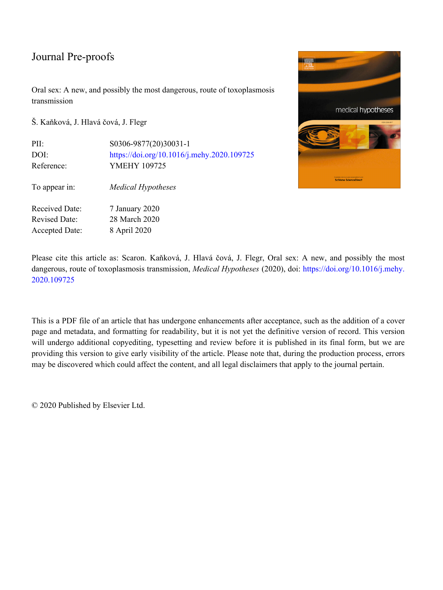Oral sex: A new, and possibly the most dangerous, route of toxoplasmosis transmission

Š. Kaňková, J. Hlavá čová, J. Flegr

| PII:                  | S0306-9877(20)30031-1                      |
|-----------------------|--------------------------------------------|
| DOI:                  | https://doi.org/10.1016/j.mehy.2020.109725 |
| Reference:            | <b>YMEHY 109725</b>                        |
| To appear in:         | <b>Medical Hypotheses</b>                  |
| Received Date:        | 7 January 2020                             |
| <b>Revised Date:</b>  | 28 March 2020                              |
| <b>Accepted Date:</b> | 8 April 2020                               |



Please cite this article as: Scaron. Kaňková, J. Hlavá čová, J. Flegr, Oral sex: A new, and possibly the most dangerous, route of toxoplasmosis transmission, *Medical Hypotheses* (2020), doi: [https://doi.org/10.1016/j.mehy.](https://doi.org/10.1016/j.mehy.2020.109725) [2020.109725](https://doi.org/10.1016/j.mehy.2020.109725)

This is a PDF file of an article that has undergone enhancements after acceptance, such as the addition of a cover page and metadata, and formatting for readability, but it is not yet the definitive version of record. This version will undergo additional copyediting, typesetting and review before it is published in its final form, but we are providing this version to give early visibility of the article. Please note that, during the production process, errors may be discovered which could affect the content, and all legal disclaimers that apply to the journal pertain.

© 2020 Published by Elsevier Ltd.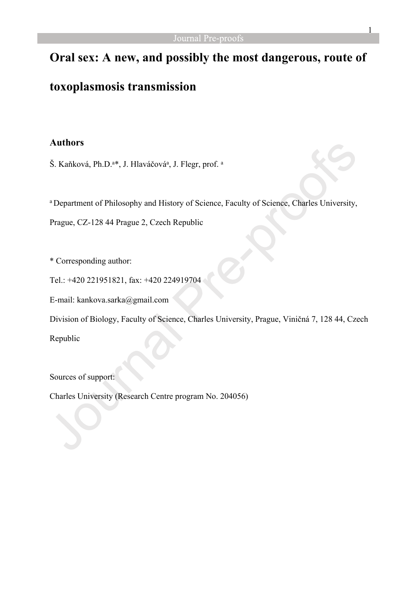# **Oral sex: A new, and possibly the most dangerous, route of**

# **toxoplasmosis transmission**

## **Authors**

Š. Kaňková, Ph.D.ª\*, J. Hlaváčováª, J. Flegr, prof. ª

a Department of Philosophy and History of Science, Faculty of Science, Charles University,

Prague, CZ-128 44 Prague 2, Czech Republic

\* Corresponding author:

Tel.: +420 221951821, fax: +420 224919704

E-mail: kankova.sarka@gmail.com

Division of Biology, Faculty of Science, Charles University, Prague, Viničná 7, 128 44, Czech

Republic

Sources of support:

Charles University (Research Centre program No. 204056)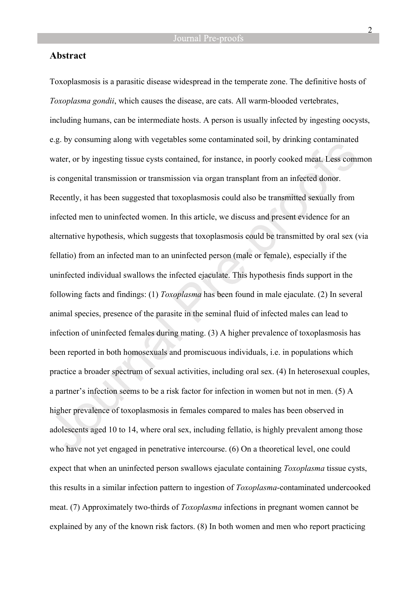### **Abstract**

Toxoplasmosis is a parasitic disease widespread in the temperate zone. The definitive hosts of *Toxoplasma gondii*, which causes the disease, are cats. All warm-blooded vertebrates, including humans, can be intermediate hosts. A person is usually infected by ingesting oocysts, e.g. by consuming along with vegetables some contaminated soil, by drinking contaminated water, or by ingesting tissue cysts contained, for instance, in poorly cooked meat. Less common is congenital transmission or transmission via organ transplant from an infected donor. Recently, it has been suggested that toxoplasmosis could also be transmitted sexually from infected men to uninfected women. In this article, we discuss and present evidence for an alternative hypothesis, which suggests that toxoplasmosis could be transmitted by oral sex (via fellatio) from an infected man to an uninfected person (male or female), especially if the uninfected individual swallows the infected ejaculate. This hypothesis finds support in the following facts and findings: (1) *Toxoplasma* has been found in male ejaculate. (2) In several animal species, presence of the parasite in the seminal fluid of infected males can lead to infection of uninfected females during mating. (3) A higher prevalence of toxoplasmosis has been reported in both homosexuals and promiscuous individuals, i.e. in populations which practice a broader spectrum of sexual activities, including oral sex. (4) In heterosexual couples, a partner's infection seems to be a risk factor for infection in women but not in men. (5) A higher prevalence of toxoplasmosis in females compared to males has been observed in adolescents aged 10 to 14, where oral sex, including fellatio, is highly prevalent among those who have not yet engaged in penetrative intercourse. (6) On a theoretical level, one could expect that when an uninfected person swallows ejaculate containing *Toxoplasma* tissue cysts, this results in a similar infection pattern to ingestion of *Toxoplasma*-contaminated undercooked meat. (7) Approximately two-thirds of *Toxoplasma* infections in pregnant women cannot be explained by any of the known risk factors. (8) In both women and men who report practicing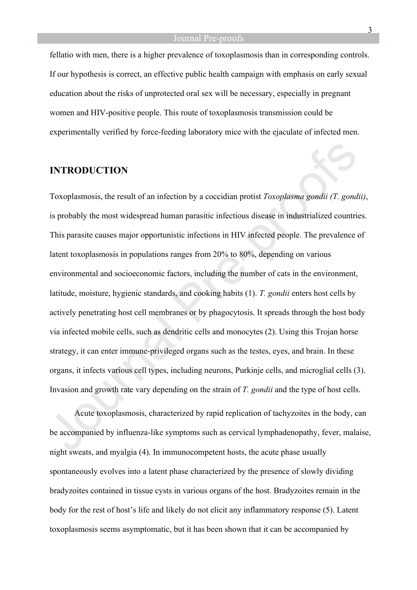fellatio with men, there is a higher prevalence of toxoplasmosis than in corresponding controls. If our hypothesis is correct, an effective public health campaign with emphasis on early sexual education about the risks of unprotected oral sex will be necessary, especially in pregnant women and HIV-positive people. This route of toxoplasmosis transmission could be experimentally verified by force-feeding laboratory mice with the ejaculate of infected men.

### **INTRODUCTION**

Toxoplasmosis, the result of an infection by a coccidian protist *Toxoplasma gondii (T. gondii)*, is probably the most widespread human parasitic infectious disease in industrialized countries. This parasite causes major opportunistic infections in HIV infected people. The prevalence of latent toxoplasmosis in populations ranges from 20% to 80%, depending on various environmental and socioeconomic factors, including the number of cats in the environment, latitude, moisture, hygienic standards, and cooking habits (1). *T. gondii* enters host cells by actively penetrating host cell membranes or by phagocytosis. It spreads through the host body via infected mobile cells, such as dendritic cells and monocytes (2). Using this Trojan horse strategy, it can enter immune-privileged organs such as the testes, eyes, and brain. In these organs, it infects various cell types, including neurons, Purkinje cells, and microglial cells (3). Invasion and growth rate vary depending on the strain of *T. gondii* and the type of host cells.

Acute toxoplasmosis, characterized by rapid replication of tachyzoites in the body, can be accompanied by influenza-like symptoms such as cervical lymphadenopathy, fever, malaise, night sweats, and myalgia (4). In immunocompetent hosts, the acute phase usually spontaneously evolves into a latent phase characterized by the presence of slowly dividing bradyzoites contained in tissue cysts in various organs of the host. Bradyzoites remain in the body for the rest of host's life and likely do not elicit any inflammatory response (5). Latent toxoplasmosis seems asymptomatic, but it has been shown that it can be accompanied by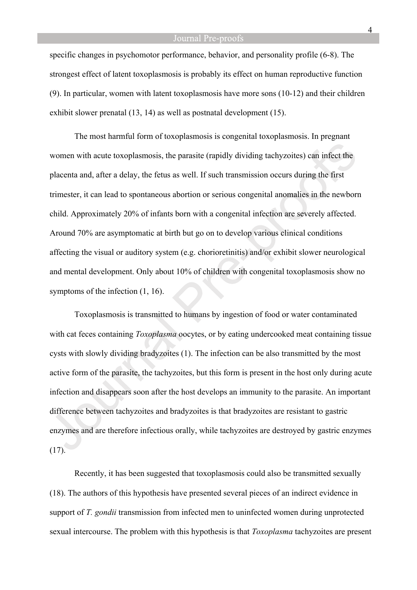specific changes in psychomotor performance, behavior, and personality profile (6-8). The strongest effect of latent toxoplasmosis is probably its effect on human reproductive function (9). In particular, women with latent toxoplasmosis have more sons (10-12) and their children exhibit slower prenatal (13, 14) as well as postnatal development (15).

The most harmful form of toxoplasmosis is congenital toxoplasmosis. In pregnant women with acute toxoplasmosis, the parasite (rapidly dividing tachyzoites) can infect the placenta and, after a delay, the fetus as well. If such transmission occurs during the first trimester, it can lead to spontaneous abortion or serious congenital anomalies in the newborn child. Approximately 20% of infants born with a congenital infection are severely affected. Around 70% are asymptomatic at birth but go on to develop various clinical conditions affecting the visual or auditory system (e.g. chorioretinitis) and/or exhibit slower neurological and mental development. Only about 10% of children with congenital toxoplasmosis show no symptoms of the infection (1, 16).

Toxoplasmosis is transmitted to humans by ingestion of food or water contaminated with cat feces containing *Toxoplasma* oocytes, or by eating undercooked meat containing tissue cysts with slowly dividing bradyzoites (1). The infection can be also transmitted by the most active form of the parasite, the tachyzoites, but this form is present in the host only during acute infection and disappears soon after the host develops an immunity to the parasite. An important difference between tachyzoites and bradyzoites is that bradyzoites are resistant to gastric enzymes and are therefore infectious orally, while tachyzoites are destroyed by gastric enzymes (17).

Recently, it has been suggested that toxoplasmosis could also be transmitted sexually (18). The authors of this hypothesis have presented several pieces of an indirect evidence in support of *T. gondii* transmission from infected men to uninfected women during unprotected sexual intercourse. The problem with this hypothesis is that *Toxoplasma* tachyzoites are present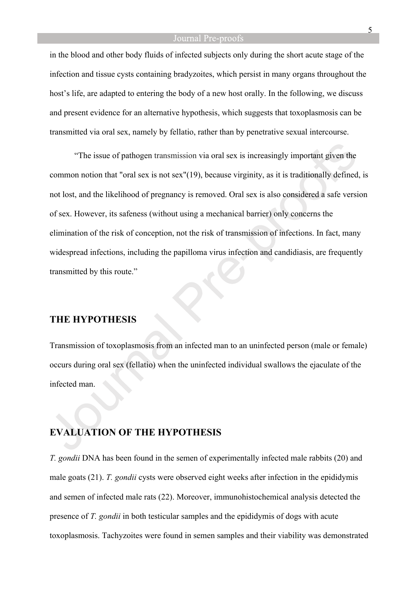in the blood and other body fluids of infected subjects only during the short acute stage of the infection and tissue cysts containing bradyzoites, which persist in many organs throughout the host's life, are adapted to entering the body of a new host orally. In the following, we discuss and present evidence for an alternative hypothesis, which suggests that toxoplasmosis can be transmitted via oral sex, namely by fellatio, rather than by penetrative sexual intercourse.

"The issue of pathogen transmission via oral sex is increasingly important given the common notion that "oral sex is not sex"(19), because virginity, as it is traditionally defined, is not lost, and the likelihood of pregnancy is removed. Oral sex is also considered a safe version of sex. However, its safeness (without using a mechanical barrier) only concerns the elimination of the risk of conception, not the risk of transmission of infections. In fact, many widespread infections, including the papilloma virus infection and candidiasis, are frequently transmitted by this route."

## **THE HYPOTHESIS**

Transmission of toxoplasmosis from an infected man to an uninfected person (male or female) occurs during oral sex (fellatio) when the uninfected individual swallows the ejaculate of the infected man.

### **EVALUATION OF THE HYPOTHESIS**

*T. gondii* DNA has been found in the semen of experimentally infected male rabbits (20) and male goats (21). *T. gondii* cysts were observed eight weeks after infection in the epididymis and semen of infected male rats (22). Moreover, immunohistochemical analysis detected the presence of *T. gondii* in both testicular samples and the epididymis of dogs with acute toxoplasmosis. Tachyzoites were found in semen samples and their viability was demonstrated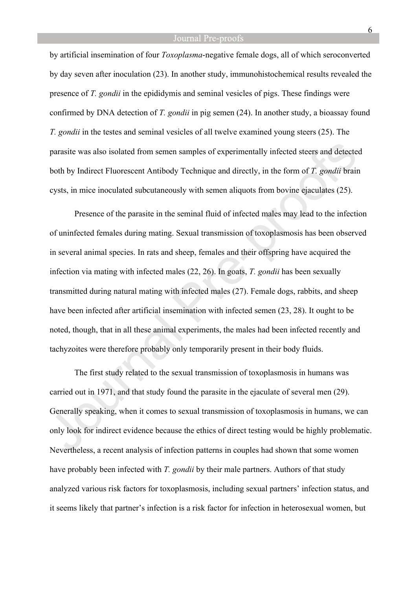by artificial insemination of four *Toxoplasma*-negative female dogs, all of which seroconverted by day seven after inoculation (23). In another study, immunohistochemical results revealed the presence of *T. gondii* in the epididymis and seminal vesicles of pigs. These findings were confirmed by DNA detection of *T. gondii* in pig semen (24). In another study, a bioassay found *T. gondii* in the testes and seminal vesicles of all twelve examined young steers (25). The parasite was also isolated from semen samples of experimentally infected steers and detected both by Indirect Fluorescent Antibody Technique and directly, in the form of *T. gondii* brain cysts, in mice inoculated subcutaneously with semen aliquots from bovine ejaculates (25).

Presence of the parasite in the seminal fluid of infected males may lead to the infection of uninfected females during mating. Sexual transmission of toxoplasmosis has been observed in several animal species. In rats and sheep, females and their offspring have acquired the infection via mating with infected males (22, 26). In goats, *T. gondii* has been sexually transmitted during natural mating with infected males (27). Female dogs, rabbits, and sheep have been infected after artificial insemination with infected semen (23, 28). It ought to be noted, though, that in all these animal experiments, the males had been infected recently and tachyzoites were therefore probably only temporarily present in their body fluids.

The first study related to the sexual transmission of toxoplasmosis in humans was carried out in 1971, and that study found the parasite in the ejaculate of several men (29). Generally speaking, when it comes to sexual transmission of toxoplasmosis in humans, we can only look for indirect evidence because the ethics of direct testing would be highly problematic. Nevertheless, a recent analysis of infection patterns in couples had shown that some women have probably been infected with *T. gondii* by their male partners. Authors of that study analyzed various risk factors for toxoplasmosis, including sexual partners' infection status, and it seems likely that partner's infection is a risk factor for infection in heterosexual women, but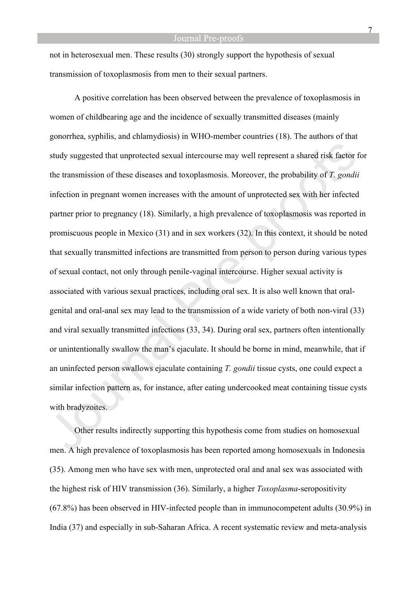not in heterosexual men. These results (30) strongly support the hypothesis of sexual transmission of toxoplasmosis from men to their sexual partners.

A positive correlation has been observed between the prevalence of toxoplasmosis in women of childbearing age and the incidence of sexually transmitted diseases (mainly gonorrhea, syphilis, and chlamydiosis) in WHO-member countries (18). The authors of that study suggested that unprotected sexual intercourse may well represent a shared risk factor for the transmission of these diseases and toxoplasmosis. Moreover, the probability of *T. gondii* infection in pregnant women increases with the amount of unprotected sex with her infected partner prior to pregnancy (18). Similarly, a high prevalence of toxoplasmosis was reported in promiscuous people in Mexico (31) and in sex workers (32). In this context, it should be noted that sexually transmitted infections are transmitted from person to person during various types of sexual contact, not only through penile-vaginal intercourse. Higher sexual activity is associated with various sexual practices, including oral sex. It is also well known that oralgenital and oral-anal sex may lead to the transmission of a wide variety of both non-viral (33) and viral sexually transmitted infections (33, 34). During oral sex, partners often intentionally or unintentionally swallow the man's ejaculate. It should be borne in mind, meanwhile, that if an uninfected person swallows ejaculate containing *T. gondii* tissue cysts, one could expect a similar infection pattern as, for instance, after eating undercooked meat containing tissue cysts with bradyzoites.

Other results indirectly supporting this hypothesis come from studies on homosexual men. A high prevalence of toxoplasmosis has been reported among homosexuals in Indonesia (35). Among men who have sex with men, unprotected oral and anal sex was associated with the highest risk of HIV transmission (36). Similarly, a higher *Toxoplasma*-seropositivity (67.8%) has been observed in HIV-infected people than in immunocompetent adults (30.9%) in India (37) and especially in sub-Saharan Africa. A recent systematic review and meta-analysis

7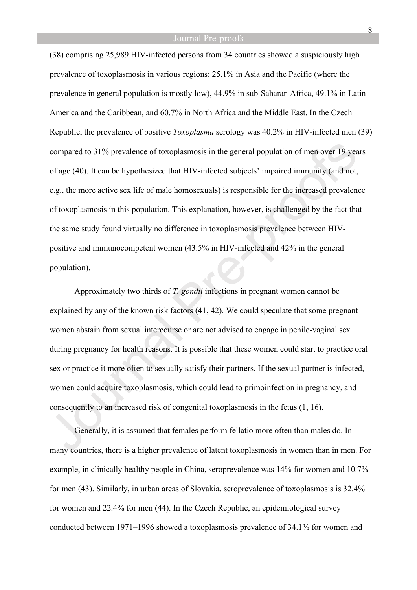(38) comprising 25,989 HIV-infected persons from 34 countries showed a suspiciously high prevalence of toxoplasmosis in various regions: 25.1% in Asia and the Pacific (where the prevalence in general population is mostly low), 44.9% in sub-Saharan Africa, 49.1% in Latin America and the Caribbean, and 60.7% in North Africa and the Middle East. In the Czech Republic, the prevalence of positive *Toxoplasma* serology was 40.2% in HIV-infected men (39) compared to 31% prevalence of toxoplasmosis in the general population of men over 19 years of age (40). It can be hypothesized that HIV-infected subjects' impaired immunity (and not, e.g., the more active sex life of male homosexuals) is responsible for the increased prevalence of toxoplasmosis in this population. This explanation, however, is challenged by the fact that the same study found virtually no difference in toxoplasmosis prevalence between HIVpositive and immunocompetent women (43.5% in HIV-infected and 42% in the general population).

Approximately two thirds of *T. gondii* infections in pregnant women cannot be explained by any of the known risk factors (41, 42). We could speculate that some pregnant women abstain from sexual intercourse or are not advised to engage in penile-vaginal sex during pregnancy for health reasons. It is possible that these women could start to practice oral sex or practice it more often to sexually satisfy their partners. If the sexual partner is infected, women could acquire toxoplasmosis, which could lead to primoinfection in pregnancy, and consequently to an increased risk of congenital toxoplasmosis in the fetus (1, 16).

Generally, it is assumed that females perform fellatio more often than males do. In many countries, there is a higher prevalence of latent toxoplasmosis in women than in men. For example, in clinically healthy people in China, seroprevalence was 14% for women and 10.7% for men (43). Similarly, in urban areas of Slovakia, seroprevalence of toxoplasmosis is 32.4% for women and 22.4% for men (44). In the Czech Republic, an epidemiological survey conducted between 1971–1996 showed a toxoplasmosis prevalence of 34.1% for women and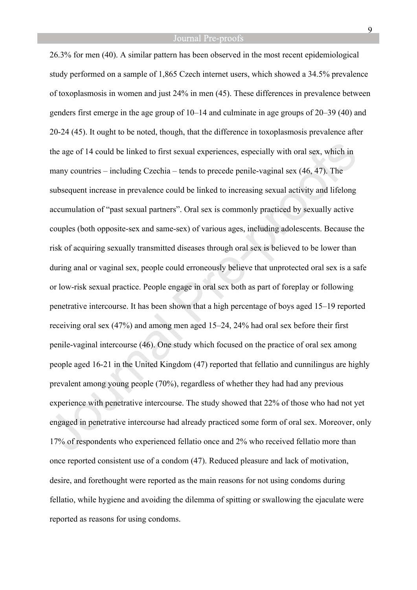26.3% for men (40). A similar pattern has been observed in the most recent epidemiological study performed on a sample of 1,865 Czech internet users, which showed a 34.5% prevalence of toxoplasmosis in women and just 24% in men (45). These differences in prevalence between genders first emerge in the age group of 10–14 and culminate in age groups of 20–39 (40) and 20-24 (45). It ought to be noted, though, that the difference in toxoplasmosis prevalence after the age of 14 could be linked to first sexual experiences, especially with oral sex, which in many countries – including Czechia – tends to precede penile-vaginal sex (46, 47). The subsequent increase in prevalence could be linked to increasing sexual activity and lifelong accumulation of "past sexual partners". Oral sex is commonly practiced by sexually active couples (both opposite-sex and same-sex) of various ages, including adolescents. Because the risk of acquiring sexually transmitted diseases through oral sex is believed to be lower than during anal or vaginal sex, people could erroneously believe that unprotected oral sex is a safe or low-risk sexual practice. People engage in oral sex both as part of foreplay or following penetrative intercourse. It has been shown that a high percentage of boys aged 15–19 reported receiving oral sex (47%) and among men aged 15–24, 24% had oral sex before their first penile-vaginal intercourse (46). One study which focused on the practice of oral sex among people aged 16-21 in the United Kingdom (47) reported that fellatio and cunnilingus are highly prevalent among young people (70%), regardless of whether they had had any previous experience with penetrative intercourse. The study showed that 22% of those who had not yet engaged in penetrative intercourse had already practiced some form of oral sex. Moreover, only 17% of respondents who experienced fellatio once and 2% who received fellatio more than once reported consistent use of a condom (47). Reduced pleasure and lack of motivation, desire, and forethought were reported as the main reasons for not using condoms during fellatio, while hygiene and avoiding the dilemma of spitting or swallowing the ejaculate were reported as reasons for using condoms.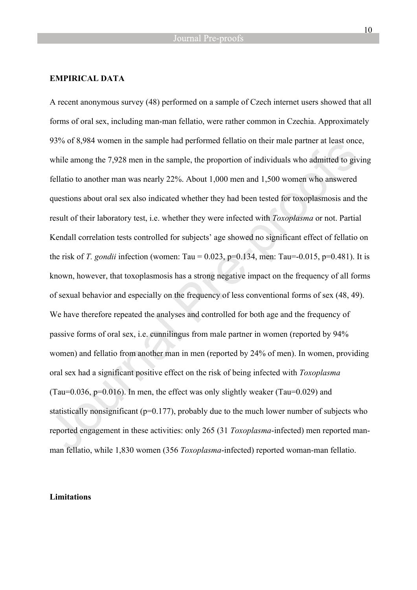#### **EMPIRICAL DATA**

A recent anonymous survey (48) performed on a sample of Czech internet users showed that all forms of oral sex, including man-man fellatio, were rather common in Czechia. Approximately 93% of 8,984 women in the sample had performed fellatio on their male partner at least once, while among the 7,928 men in the sample, the proportion of individuals who admitted to giving fellatio to another man was nearly 22%. About 1,000 men and 1,500 women who answered questions about oral sex also indicated whether they had been tested for toxoplasmosis and the result of their laboratory test, i.e. whether they were infected with *Toxoplasma* or not. Partial Kendall correlation tests controlled for subjects' age showed no significant effect of fellatio on the risk of *T. gondii* infection (women: Tau =  $0.023$ , p= $0.134$ , men: Tau =  $-0.015$ , p= $0.481$ ). It is known, however, that toxoplasmosis has a strong negative impact on the frequency of all forms of sexual behavior and especially on the frequency of less conventional forms of sex (48, 49). We have therefore repeated the analyses and controlled for both age and the frequency of passive forms of oral sex, i.e. cunnilingus from male partner in women (reported by 94% women) and fellatio from another man in men (reported by 24% of men). In women, providing oral sex had a significant positive effect on the risk of being infected with *Toxoplasma* (Tau= $0.036$ , p= $0.016$ ). In men, the effect was only slightly weaker (Tau= $0.029$ ) and statistically nonsignificant ( $p=0.177$ ), probably due to the much lower number of subjects who reported engagement in these activities: only 265 (31 *Toxoplasma*-infected) men reported manman fellatio, while 1,830 women (356 *Toxoplasma*-infected) reported woman-man fellatio.

#### **Limitations**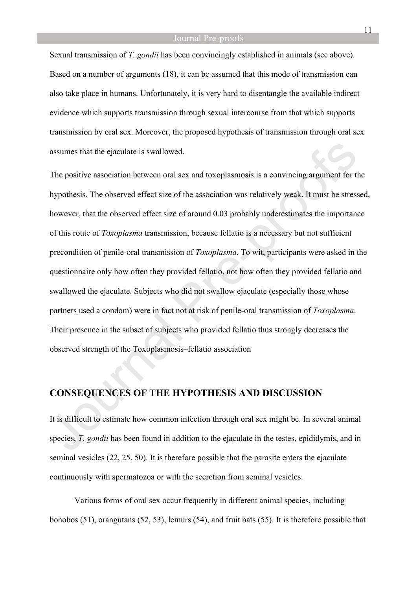Sexual transmission of *T. gondii* has been convincingly established in animals (see above). Based on a number of arguments (18), it can be assumed that this mode of transmission can also take place in humans. Unfortunately, it is very hard to disentangle the available indirect evidence which supports transmission through sexual intercourse from that which supports transmission by oral sex. Moreover, the proposed hypothesis of transmission through oral sex assumes that the ejaculate is swallowed.

The positive association between oral sex and toxoplasmosis is a convincing argument for the hypothesis. The observed effect size of the association was relatively weak. It must be stressed, however, that the observed effect size of around 0.03 probably underestimates the importance of this route of *Toxoplasma* transmission, because fellatio is a necessary but not sufficient precondition of penile-oral transmission of *Toxoplasma*. To wit, participants were asked in the questionnaire only how often they provided fellatio, not how often they provided fellatio and swallowed the ejaculate. Subjects who did not swallow ejaculate (especially those whose partners used a condom) were in fact not at risk of penile-oral transmission of *Toxoplasma*. Their presence in the subset of subjects who provided fellatio thus strongly decreases the observed strength of the Toxoplasmosis–fellatio association

### **CONSEQUENCES OF THE HYPOTHESIS AND DISCUSSION**

It is difficult to estimate how common infection through oral sex might be. In several animal species, *T. gondii* has been found in addition to the ejaculate in the testes, epididymis, and in seminal vesicles (22, 25, 50). It is therefore possible that the parasite enters the ejaculate continuously with spermatozoa or with the secretion from seminal vesicles.

Various forms of oral sex occur frequently in different animal species, including bonobos (51), orangutans (52, 53), lemurs (54), and fruit bats (55). It is therefore possible that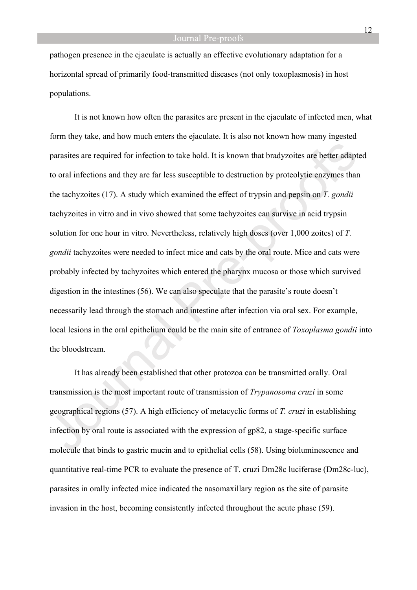pathogen presence in the ejaculate is actually an effective evolutionary adaptation for a horizontal spread of primarily food-transmitted diseases (not only toxoplasmosis) in host populations.

It is not known how often the parasites are present in the ejaculate of infected men, what form they take, and how much enters the ejaculate. It is also not known how many ingested parasites are required for infection to take hold. It is known that bradyzoites are better adapted to oral infections and they are far less susceptible to destruction by proteolytic enzymes than the tachyzoites (17). A study which examined the effect of trypsin and pepsin on *T. gondii* tachyzoites in vitro and in vivo showed that some tachyzoites can survive in acid trypsin solution for one hour in vitro. Nevertheless, relatively high doses (over 1,000 zoites) of *T. gondii* tachyzoites were needed to infect mice and cats by the oral route. Mice and cats were probably infected by tachyzoites which entered the pharynx mucosa or those which survived digestion in the intestines (56). We can also speculate that the parasite's route doesn't necessarily lead through the stomach and intestine after infection via oral sex. For example, local lesions in the oral epithelium could be the main site of entrance of *Toxoplasma gondii* into the bloodstream.

It has already been established that other protozoa can be transmitted orally. Oral transmission is the most important route of transmission of *Trypanosoma cruzi* in some geographical regions (57). A high efficiency of metacyclic forms of *T. cruzi* in establishing infection by oral route is associated with the expression of gp82, a stage-specific surface molecule that binds to gastric mucin and to epithelial cells (58). Using bioluminescence and quantitative real-time PCR to evaluate the presence of T. cruzi Dm28c luciferase (Dm28c-luc), parasites in orally infected mice indicated the nasomaxillary region as the site of parasite invasion in the host, becoming consistently infected throughout the acute phase (59).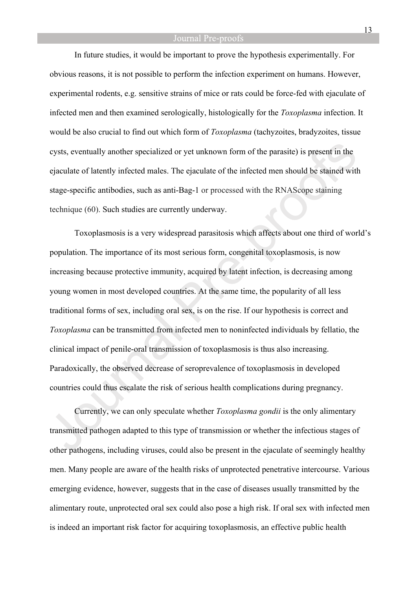In future studies, it would be important to prove the hypothesis experimentally. For obvious reasons, it is not possible to perform the infection experiment on humans. However, experimental rodents, e.g. sensitive strains of mice or rats could be force-fed with ejaculate of infected men and then examined serologically, histologically for the *Toxoplasma* infection. It would be also crucial to find out which form of *Toxoplasma* (tachyzoites, bradyzoites, tissue cysts, eventually another specialized or yet unknown form of the parasite) is present in the ejaculate of latently infected males. The ejaculate of the infected men should be stained with stage-specific antibodies, such as anti-Bag-1 or processed with the RNAScope staining technique (60). Such studies are currently underway.

Toxoplasmosis is a very widespread parasitosis which affects about one third of world's population. The importance of its most serious form, congenital toxoplasmosis, is now increasing because protective immunity, acquired by latent infection, is decreasing among young women in most developed countries. At the same time, the popularity of all less traditional forms of sex, including oral sex, is on the rise. If our hypothesis is correct and *Toxoplasma* can be transmitted from infected men to noninfected individuals by fellatio, the clinical impact of penile-oral transmission of toxoplasmosis is thus also increasing. Paradoxically, the observed decrease of seroprevalence of toxoplasmosis in developed countries could thus escalate the risk of serious health complications during pregnancy.

Currently, we can only speculate whether *Toxoplasma gondii* is the only alimentary transmitted pathogen adapted to this type of transmission or whether the infectious stages of other pathogens, including viruses, could also be present in the ejaculate of seemingly healthy men. Many people are aware of the health risks of unprotected penetrative intercourse. Various emerging evidence, however, suggests that in the case of diseases usually transmitted by the alimentary route, unprotected oral sex could also pose a high risk. If oral sex with infected men is indeed an important risk factor for acquiring toxoplasmosis, an effective public health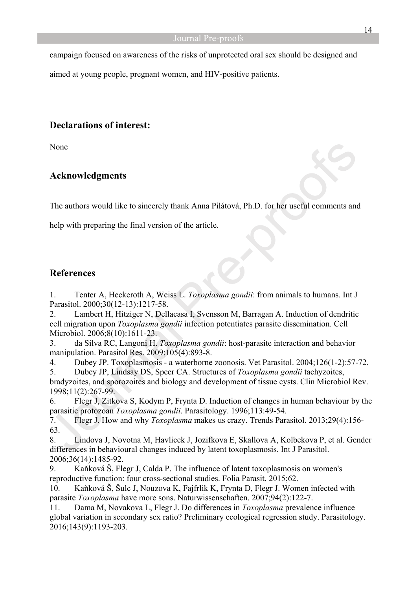campaign focused on awareness of the risks of unprotected oral sex should be designed and

aimed at young people, pregnant women, and HIV-positive patients.

## **Declarations of interest:**

None

## **Acknowledgments**

The authors would like to sincerely thank Anna Pilátová, Ph.D. for her useful comments and

help with preparing the final version of the article.

## **References**

1. Tenter A, Heckeroth A, Weiss L. *Toxoplasma gondii*: from animals to humans. Int J Parasitol. 2000;30(12-13):1217-58.

2. Lambert H, Hitziger N, Dellacasa I, Svensson M, Barragan A. Induction of dendritic cell migration upon *Toxoplasma gondii* infection potentiates parasite dissemination. Cell Microbiol. 2006;8(10):1611-23.

3. da Silva RC, Langoni H. *Toxoplasma gondii*: host-parasite interaction and behavior manipulation. Parasitol Res. 2009;105(4):893-8.

4. Dubey JP. Toxoplasmosis - a waterborne zoonosis. Vet Parasitol. 2004;126(1-2):57-72. 5. Dubey JP, Lindsay DS, Speer CA. Structures of *Toxoplasma gondii* tachyzoites,

bradyzoites, and sporozoites and biology and development of tissue cysts. Clin Microbiol Rev. 1998;11(2):267-99.

6. Flegr J, Zitkova S, Kodym P, Frynta D. Induction of changes in human behaviour by the parasitic protozoan *Toxoplasma gondii*. Parasitology. 1996;113:49-54.

7. Flegr J. How and why *Toxoplasma* makes us crazy. Trends Parasitol. 2013;29(4):156- 63.

8. Lindova J, Novotna M, Havlicek J, Jozifkova E, Skallova A, Kolbekova P, et al. Gender differences in behavioural changes induced by latent toxoplasmosis. Int J Parasitol. 2006;36(14):1485-92.

9. Kaňková Š, Flegr J, Calda P. The influence of latent toxoplasmosis on women's reproductive function: four cross-sectional studies. Folia Parasit. 2015;62.

10. Kaňková Š, Šulc J, Nouzova K, Fajfrlik K, Frynta D, Flegr J. Women infected with parasite *Toxoplasma* have more sons. Naturwissenschaften. 2007;94(2):122-7.

11. Dama M, Novakova L, Flegr J. Do differences in *Toxoplasma* prevalence influence global variation in secondary sex ratio? Preliminary ecological regression study. Parasitology. 2016;143(9):1193-203.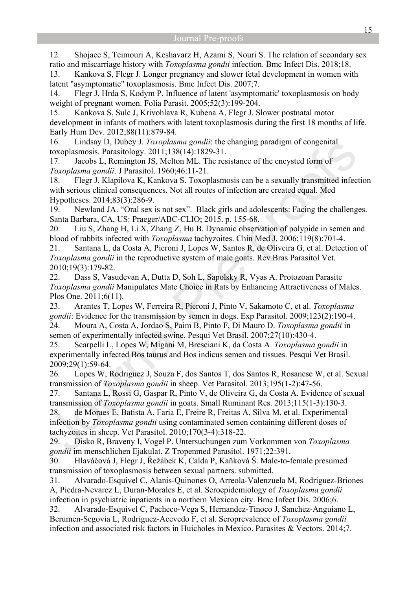12. Shojaee S, Teimouri A, Keshavarz H, Azami S, Nouri S. The relation of secondary sex ratio and miscarriage history with *Toxoplasma gondii* infection. Bmc Infect Dis. 2018;18.

13. Kankova S, Flegr J. Longer pregnancy and slower fetal development in women with latent "asymptomatic" toxoplasmosis. Bmc Infect Dis. 2007;7.

14. Flegr J, Hrda S, Kodym P. Influence of latent 'asymptomatic' toxoplasmosis on body weight of pregnant women. Folia Parasit. 2005;52(3):199-204.

15. Kankova S, Sulc J, Krivohlava R, Kubena A, Flegr J. Slower postnatal motor development in infants of mothers with latent toxoplasmosis during the first 18 months of life. Early Hum Dev. 2012;88(11):879-84.

16. Lindsay D, Dubey J. *Toxoplasma gondii*: the changing paradigm of congenital toxoplasmosis. Parasitology. 2011;138(14):1829-31.

17. Jacobs L, Remington JS, Melton ML. The resistance of the encysted form of *Toxoplasma gondii*. J Parasitol. 1960;46:11-21.

18. Flegr J, Klapilova K, Kankova S. Toxoplasmosis can be a sexually transmitted infection with serious clinical consequences. Not all routes of infection are created equal. Med Hypotheses. 2014;83(3):286-9.

19. Newland JA. "Oral sex is not sex". Black girls and adolescents: Facing the challenges. Santa Barbara, CA, US: Praeger/ABC-CLIO; 2015. p. 155-68.

20. Liu S, Zhang H, Li X, Zhang Z, Hu B. Dynamic observation of polypide in semen and blood of rabbits infected with *Toxoplasma* tachyzoites. Chin Med J. 2006;119(8):701-4.

21. Santana L, da Costa A, Pieroni J, Lopes W, Santos R, de Oliveira G, et al. Detection of *Toxoplasma gondii* in the reproductive system of male goats. Rev Bras Parasitol Vet. 2010;19(3):179-82.

22. Dass S, Vasudevan A, Dutta D, Soh L, Sapolsky R, Vyas A. Protozoan Parasite *Toxoplasma gondii* Manipulates Mate Choice in Rats by Enhancing Attractiveness of Males. Plos One. 2011;6(11).

23. Arantes T, Lopes W, Ferreira R, Pieroni J, Pinto V, Sakamoto C, et al. *Toxoplasma gondii*: Evidence for the transmission by semen in dogs. Exp Parasitol. 2009;123(2):190-4. 24. Moura A, Costa A, Jordao S, Paim B, Pinto F, Di Mauro D. *Toxoplasma gondii* in semen of experimentally infected swine. Pesqui Vet Brasil. 2007;27(10):430-4.

25. Scarpelli L, Lopes W, Migani M, Bresciani K, da Costa A. *Toxoplasma gondii* in experimentally infected Bos taurus and Bos indicus semen and tissues. Pesqui Vet Brasil. 2009;29(1):59-64.

26. Lopes W, Rodriguez J, Souza F, dos Santos T, dos Santos R, Rosanese W, et al. Sexual transmission of *Toxoplasma gondii* in sheep. Vet Parasitol. 2013;195(1-2):47-56.

27. Santana L, Rossi G, Gaspar R, Pinto V, de Oliveira G, da Costa A. Evidence of sexual transmission of *Toxoplasma gondii* in goats. Small Ruminant Res. 2013;115(1-3):130-3.

28. de Moraes E, Batista A, Faria E, Freire R, Freitas A, Silva M, et al. Experimental infection by *Toxoplasma gondii* using contaminated semen containing different doses of tachyzoites in sheep. Vet Parasitol. 2010;170(3-4):318-22.

29. Disko R, Braveny I, Vogel P. Untersuchungen zum Vorkommen von *Toxoplasma gondii* im menschlichen Ejakulat. Z Tropenmed Parasitol. 1971;22:391.

30. Hlaváčová J, Flegr J, Řežábek K, Calda P, Kaňková Š. Male-to-female presumed transmission of toxoplasmosis between sexual partners. submitted.

31. Alvarado-Esquivel C, Alanis-Quinones O, Arreola-Valenzuela M, Rodriguez-Briones A, Piedra-Nevarez L, Duran-Morales E, et al. Seroepidemiology of *Toxoplasma gondii* infection in psychiatric inpatients in a northern Mexican city. Bmc Infect Dis. 2006;6.

32. Alvarado-Esquivel C, Pacheco-Vega S, Hernandez-Tinoco J, Sanchez-Anguiano L, Berumen-Segovia L, Rodriguez-Acevedo F, et al. Seroprevalence of *Toxoplasma gondii* infection and associated risk factors in Huicholes in Mexico. Parasites & Vectors. 2014;7.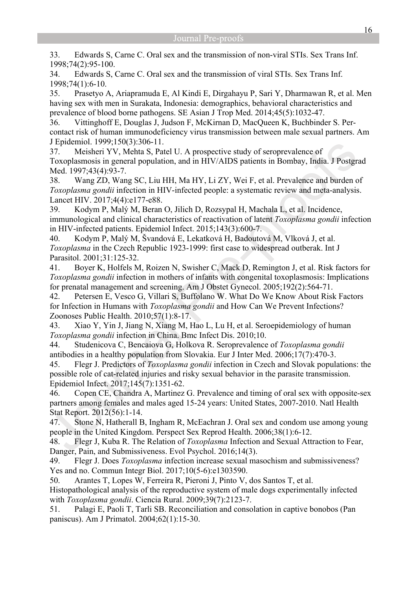33. Edwards S, Carne C. Oral sex and the transmission of non-viral STIs. Sex Trans Inf. 1998;74(2):95-100.

34. Edwards S, Carne C. Oral sex and the transmission of viral STIs. Sex Trans Inf. 1998;74(1):6-10.

35. Prasetyo A, Ariapramuda E, Al Kindi E, Dirgahayu P, Sari Y, Dharmawan R, et al. Men having sex with men in Surakata, Indonesia: demographics, behavioral characteristics and prevalence of blood borne pathogens. SE Asian J Trop Med. 2014;45(5):1032-47.

36. Vittinghoff E, Douglas J, Judson F, McKirnan D, MacQueen K, Buchbinder S. Percontact risk of human immunodeficiency virus transmission between male sexual partners. Am J Epidemiol. 1999;150(3):306-11.

37. Meisheri YV, Mehta S, Patel U. A prospective study of seroprevalence of Toxoplasmosis in general population, and in HIV/AIDS patients in Bombay, India. J Postgrad Med. 1997;43(4):93-7.

38. Wang ZD, Wang SC, Liu HH, Ma HY, Li ZY, Wei F, et al. Prevalence and burden of *Toxoplasma gondii* infection in HIV-infected people: a systematic review and meta-analysis. Lancet HIV. 2017;4(4):e177-e88.

39. Kodym P, Malý M, Beran O, Jilich D, Rozsypal H, Machala L, et al. Incidence, immunological and clinical characteristics of reactivation of latent *Toxoplasma gondii* infection in HIV-infected patients. Epidemiol Infect. 2015;143(3):600-7.

40. Kodym P, Malý M, Švandová E, Lekatková H, Badoutová M, Vlková J, et al. *Toxoplasma* in the Czech Republic 1923-1999: first case to widespread outberak. Int J Parasitol. 2001;31:125-32.

41. Boyer K, Holfels M, Roizen N, Swisher C, Mack D, Remington J, et al. Risk factors for *Toxoplasma gondii* infection in mothers of infants with congenital toxoplasmosis: Implications for prenatal management and screening. Am J Obstet Gynecol. 2005;192(2):564-71.

42. Petersen E, Vesco G, Villari S, Buffolano W. What Do We Know About Risk Factors for Infection in Humans with *Toxoplasma gondii* and How Can We Prevent Infections? Zoonoses Public Health. 2010;57(1):8-17.

43. Xiao Y, Yin J, Jiang N, Xiang M, Hao L, Lu H, et al. Seroepidemiology of human *Toxoplasma gondii* infection in China. Bmc Infect Dis. 2010;10.

44. Studenicova C, Bencaiova G, Holkova R. Seroprevalence of *Toxoplasma gondii*  antibodies in a healthy population from Slovakia. Eur J Inter Med. 2006;17(7):470-3.

45. Flegr J. Predictors of *Toxoplasma gondii* infection in Czech and Slovak populations: the possible role of cat-related injuries and risky sexual behavior in the parasite transmission. Epidemiol Infect. 2017;145(7):1351-62.

46. Copen CE, Chandra A, Martinez G. Prevalence and timing of oral sex with opposite-sex partners among females and males aged 15-24 years: United States, 2007-2010. Natl Health Stat Report. 2012(56):1-14.

47. Stone N, Hatherall B, Ingham R, McEachran J. Oral sex and condom use among young people in the United Kingdom. Perspect Sex Reprod Health. 2006;38(1):6-12.

48. Flegr J, Kuba R. The Relation of *Toxoplasma* Infection and Sexual Attraction to Fear, Danger, Pain, and Submissiveness. Evol Psychol. 2016;14(3).

49. Flegr J. Does *Toxoplasma* infection increase sexual masochism and submissiveness? Yes and no. Commun Integr Biol. 2017;10(5-6):e1303590.

50. Arantes T, Lopes W, Ferreira R, Pieroni J, Pinto V, dos Santos T, et al. Histopathological analysis of the reproductive system of male dogs experimentally infected with *Toxoplasma gondii*. Ciencia Rural. 2009;39(7):2123-7.

51. Palagi E, Paoli T, Tarli SB. Reconciliation and consolation in captive bonobos (Pan paniscus). Am J Primatol. 2004;62(1):15-30.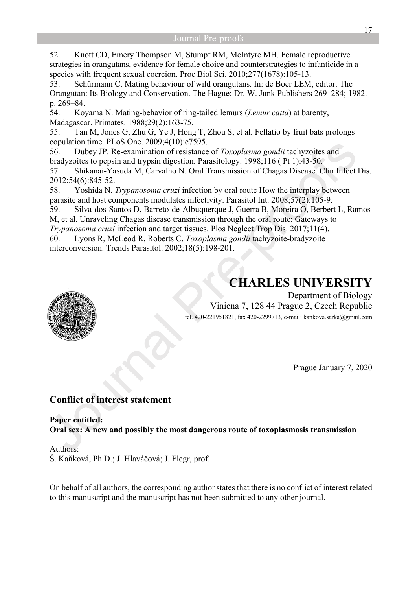52. Knott CD, Emery Thompson M, Stumpf RM, McIntyre MH. Female reproductive strategies in orangutans, evidence for female choice and counterstrategies to infanticide in a species with frequent sexual coercion. Proc Biol Sci. 2010;277(1678):105-13.

53. Schürmann C. Mating behaviour of wild orangutans. In: de Boer LEM, editor. The Orangutan: Its Biology and Conservation. The Hague: Dr. W. Junk Publishers 269–284; 1982. p. 269–84.

54. Koyama N. Mating-behavior of ring-tailed lemurs (*Lemur catta*) at barenty, Madagascar. Primates. 1988;29(2):163-75.

55. Tan M, Jones G, Zhu G, Ye J, Hong T, Zhou S, et al. Fellatio by fruit bats prolongs copulation time. PLoS One. 2009;4(10):e7595.

56. Dubey JP. Re-examination of resistance of *Toxoplasma gondii* tachyzoites and bradyzoites to pepsin and trypsin digestion. Parasitology. 1998;116 ( Pt 1):43-50. 57. Shikanai-Yasuda M, Carvalho N. Oral Transmission of Chagas Disease. Clin Infect Dis. 2012;54(6):845-52.

58. Yoshida N. *Trypanosoma cruzi* infection by oral route How the interplay between parasite and host components modulates infectivity. Parasitol Int. 2008;57(2):105-9.

59. Silva-dos-Santos D, Barreto-de-Albuquerque J, Guerra B, Moreira O, Berbert L, Ramos M, et al. Unraveling Chagas disease transmission through the oral route: Gateways to

*Trypanosoma cruzi* infection and target tissues. Plos Neglect Trop Dis. 2017;11(4).

60. Lyons R, McLeod R, Roberts C. *Toxoplasma gondii* tachyzoite-bradyzoite interconversion. Trends Parasitol. 2002;18(5):198-201.

# **CHARLES UNIVERSITY**

Department of Biology Vinicna 7, 128 44 Prague 2, Czech Republic tel. 420-221951821, fax 420-2299713, e-mail: kankova.sarka@gmail.com

Prague January 7, 2020

# **Conflict of interest statement**

**Paper entitled: Oral sex: A new and possibly the most dangerous route of toxoplasmosis transmission** 

Authors: Š. Kaňková, Ph.D.; J. Hlaváčová; J. Flegr, prof.

On behalf of all authors, the corresponding author states that there is no conflict of interest related to this manuscript and the manuscript has not been submitted to any other journal.